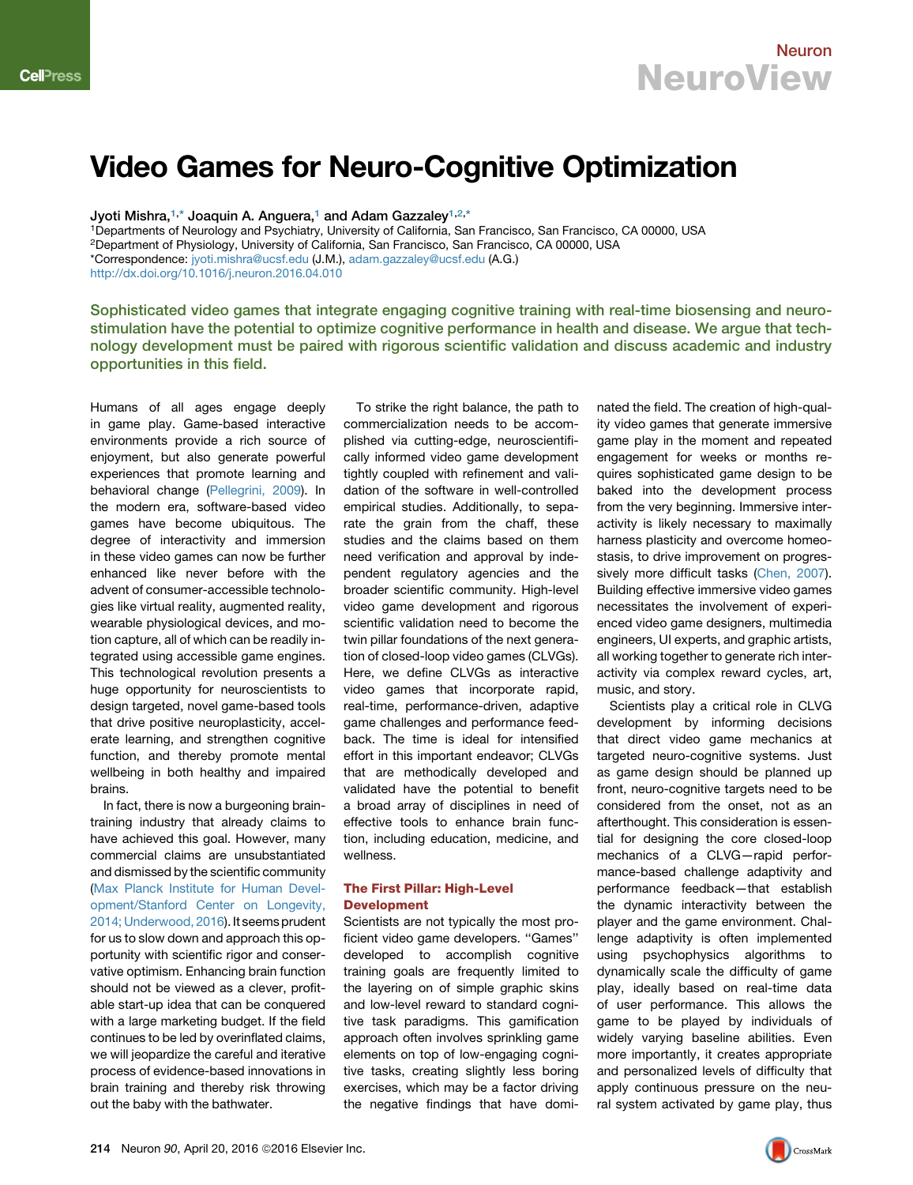# Video Games for Neuro-Cognitive Optimization

Jyoti Mishra,<sup>[1,](#page-0-0)\*</sup> Joaquin A. Anguera,<sup>[1](#page-0-0)</sup> and Adam Gazzaley<sup>1[,2,](#page-0-1)[\\*](#page-0-2)</sup>

<span id="page-0-2"></span><span id="page-0-1"></span><span id="page-0-0"></span>1Departments of Neurology and Psychiatry, University of California, San Francisco, San Francisco, CA 00000, USA 2Department of Physiology, University of California, San Francisco, San Francisco, CA 00000, USA \*Correspondence: [jyoti.mishra@ucsf.edu](mailto:jyoti.mishra@ucsf.edu) (J.M.), [adam.gazzaley@ucsf.edu](mailto:adam.gazzaley@ucsf.edu) (A.G.) <http://dx.doi.org/10.1016/j.neuron.2016.04.010>

Sophisticated video games that integrate engaging cognitive training with real-time biosensing and neurostimulation have the potential to optimize cognitive performance in health and disease. We argue that technology development must be paired with rigorous scientific validation and discuss academic and industry opportunities in this field.

Humans of all ages engage deeply in game play. Game-based interactive environments provide a rich source of enjoyment, but also generate powerful experiences that promote learning and behavioral change ([Pellegrini, 2009\)](#page-4-0). In the modern era, software-based video games have become ubiquitous. The degree of interactivity and immersion in these video games can now be further enhanced like never before with the advent of consumer-accessible technologies like virtual reality, augmented reality, wearable physiological devices, and motion capture, all of which can be readily integrated using accessible game engines. This technological revolution presents a huge opportunity for neuroscientists to design targeted, novel game-based tools that drive positive neuroplasticity, accelerate learning, and strengthen cognitive function, and thereby promote mental wellbeing in both healthy and impaired brains.

In fact, there is now a burgeoning braintraining industry that already claims to have achieved this goal. However, many commercial claims are unsubstantiated and dismissed by the scientific community ([Max Planck Institute for Human Devel](#page-4-1)[opment/Stanford Center on Longevity,](#page-4-1) [2014; Underwood, 2016](#page-4-1)). It seems prudent for us to slow down and approach this opportunity with scientific rigor and conservative optimism. Enhancing brain function should not be viewed as a clever, profitable start-up idea that can be conquered with a large marketing budget. If the field continues to be led by overinflated claims, we will jeopardize the careful and iterative process of evidence-based innovations in brain training and thereby risk throwing out the baby with the bathwater.

To strike the right balance, the path to commercialization needs to be accomplished via cutting-edge, neuroscientifically informed video game development tightly coupled with refinement and validation of the software in well-controlled empirical studies. Additionally, to separate the grain from the chaff, these studies and the claims based on them need verification and approval by independent regulatory agencies and the broader scientific community. High-level video game development and rigorous scientific validation need to become the twin pillar foundations of the next generation of closed-loop video games (CLVGs). Here, we define CLVGs as interactive video games that incorporate rapid, real-time, performance-driven, adaptive game challenges and performance feedback. The time is ideal for intensified effort in this important endeavor; CLVGs that are methodically developed and validated have the potential to benefit a broad array of disciplines in need of effective tools to enhance brain function, including education, medicine, and wellness.

### The First Pillar: High-Level Development

Scientists are not typically the most proficient video game developers. ''Games'' developed to accomplish cognitive training goals are frequently limited to the layering on of simple graphic skins and low-level reward to standard cognitive task paradigms. This gamification approach often involves sprinkling game elements on top of low-engaging cognitive tasks, creating slightly less boring exercises, which may be a factor driving the negative findings that have dominated the field. The creation of high-quality video games that generate immersive game play in the moment and repeated engagement for weeks or months requires sophisticated game design to be baked into the development process from the very beginning. Immersive interactivity is likely necessary to maximally harness plasticity and overcome homeostasis, to drive improvement on progressively more difficult tasks [\(Chen, 2007](#page-4-2)). Building effective immersive video games necessitates the involvement of experienced video game designers, multimedia engineers, UI experts, and graphic artists, all working together to generate rich interactivity via complex reward cycles, art, music, and story.

Scientists play a critical role in CLVG development by informing decisions that direct video game mechanics at targeted neuro-cognitive systems. Just as game design should be planned up front, neuro-cognitive targets need to be considered from the onset, not as an afterthought. This consideration is essential for designing the core closed-loop mechanics of a CLVG—rapid performance-based challenge adaptivity and performance feedback—that establish the dynamic interactivity between the player and the game environment. Challenge adaptivity is often implemented using psychophysics algorithms to dynamically scale the difficulty of game play, ideally based on real-time data of user performance. This allows the game to be played by individuals of widely varying baseline abilities. Even more importantly, it creates appropriate and personalized levels of difficulty that apply continuous pressure on the neural system activated by game play, thus

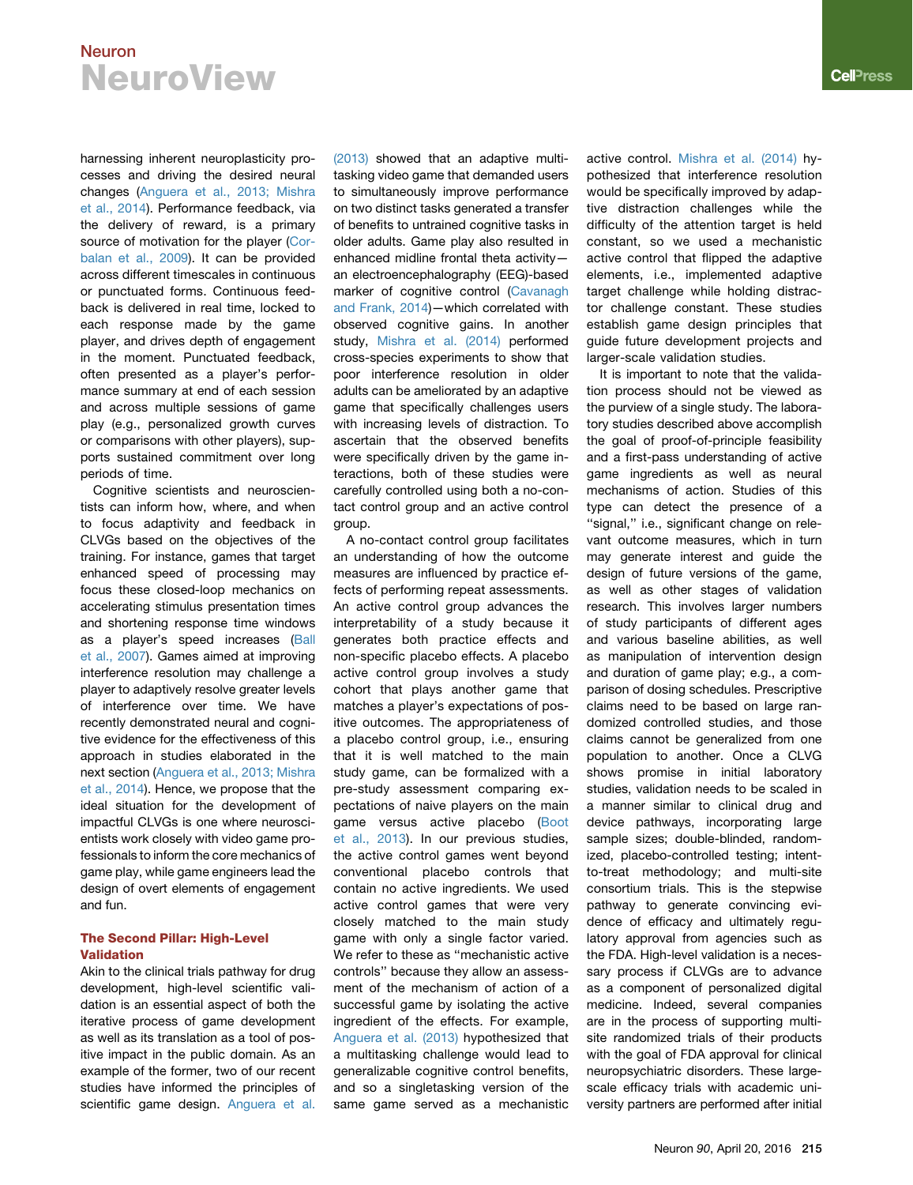harnessing inherent neuroplasticity processes and driving the desired neural changes [\(Anguera et al., 2013; Mishra](#page-3-0) [et al., 2014\)](#page-3-0). Performance feedback, via the delivery of reward, is a primary source of motivation for the player [\(Cor](#page-4-3)[balan et al., 2009](#page-4-3)). It can be provided across different timescales in continuous or punctuated forms. Continuous feedback is delivered in real time, locked to each response made by the game player, and drives depth of engagement in the moment. Punctuated feedback, often presented as a player's performance summary at end of each session and across multiple sessions of game play (e.g., personalized growth curves or comparisons with other players), supports sustained commitment over long periods of time.

Cognitive scientists and neuroscientists can inform how, where, and when to focus adaptivity and feedback in CLVGs based on the objectives of the training. For instance, games that target enhanced speed of processing may focus these closed-loop mechanics on accelerating stimulus presentation times and shortening response time windows as a player's speed increases [\(Ball](#page-3-1) [et al., 2007](#page-3-1)). Games aimed at improving interference resolution may challenge a player to adaptively resolve greater levels of interference over time. We have recently demonstrated neural and cognitive evidence for the effectiveness of this approach in studies elaborated in the next section [\(Anguera et al., 2013; Mishra](#page-3-0) [et al., 2014](#page-3-0)). Hence, we propose that the ideal situation for the development of impactful CLVGs is one where neuroscientists work closely with video game professionals to inform the core mechanics of game play, while game engineers lead the design of overt elements of engagement and fun.

### The Second Pillar: High-Level Validation

Akin to the clinical trials pathway for drug development, high-level scientific validation is an essential aspect of both the iterative process of game development as well as its translation as a tool of positive impact in the public domain. As an example of the former, two of our recent studies have informed the principles of scientific game design. [Anguera et al.](#page-3-0)

[\(2013\)](#page-3-0) showed that an adaptive multitasking video game that demanded users to simultaneously improve performance on two distinct tasks generated a transfer of benefits to untrained cognitive tasks in older adults. Game play also resulted in enhanced midline frontal theta activity an electroencephalography (EEG)-based marker of cognitive control ([Cavanagh](#page-4-4) [and Frank, 2014](#page-4-4))—which correlated with observed cognitive gains. In another study, [Mishra et al. \(2014\)](#page-4-5) performed cross-species experiments to show that poor interference resolution in older adults can be ameliorated by an adaptive game that specifically challenges users with increasing levels of distraction. To ascertain that the observed benefits were specifically driven by the game interactions, both of these studies were carefully controlled using both a no-contact control group and an active control group.

A no-contact control group facilitates an understanding of how the outcome measures are influenced by practice effects of performing repeat assessments. An active control group advances the interpretability of a study because it generates both practice effects and non-specific placebo effects. A placebo active control group involves a study cohort that plays another game that matches a player's expectations of positive outcomes. The appropriateness of a placebo control group, i.e., ensuring that it is well matched to the main study game, can be formalized with a pre-study assessment comparing expectations of naive players on the main game versus active placebo ([Boot](#page-3-2) [et al., 2013](#page-3-2)). In our previous studies, the active control games went beyond conventional placebo controls that contain no active ingredients. We used active control games that were very closely matched to the main study game with only a single factor varied. We refer to these as ''mechanistic active controls'' because they allow an assessment of the mechanism of action of a successful game by isolating the active ingredient of the effects. For example, [Anguera et al. \(2013\)](#page-3-0) hypothesized that a multitasking challenge would lead to generalizable cognitive control benefits, and so a singletasking version of the same game served as a mechanistic

active control. [Mishra et al. \(2014\)](#page-4-5) hypothesized that interference resolution would be specifically improved by adaptive distraction challenges while the difficulty of the attention target is held constant, so we used a mechanistic active control that flipped the adaptive elements, i.e., implemented adaptive target challenge while holding distractor challenge constant. These studies establish game design principles that guide future development projects and larger-scale validation studies.

It is important to note that the validation process should not be viewed as the purview of a single study. The laboratory studies described above accomplish the goal of proof-of-principle feasibility and a first-pass understanding of active game ingredients as well as neural mechanisms of action. Studies of this type can detect the presence of a ''signal,'' i.e., significant change on relevant outcome measures, which in turn may generate interest and guide the design of future versions of the game. as well as other stages of validation research. This involves larger numbers of study participants of different ages and various baseline abilities, as well as manipulation of intervention design and duration of game play; e.g., a comparison of dosing schedules. Prescriptive claims need to be based on large randomized controlled studies, and those claims cannot be generalized from one population to another. Once a CLVG shows promise in initial laboratory studies, validation needs to be scaled in a manner similar to clinical drug and device pathways, incorporating large sample sizes; double-blinded, randomized, placebo-controlled testing; intentto-treat methodology; and multi-site consortium trials. This is the stepwise pathway to generate convincing evidence of efficacy and ultimately regulatory approval from agencies such as the FDA. High-level validation is a necessary process if CLVGs are to advance as a component of personalized digital medicine. Indeed, several companies are in the process of supporting multisite randomized trials of their products with the goal of FDA approval for clinical neuropsychiatric disorders. These largescale efficacy trials with academic university partners are performed after initial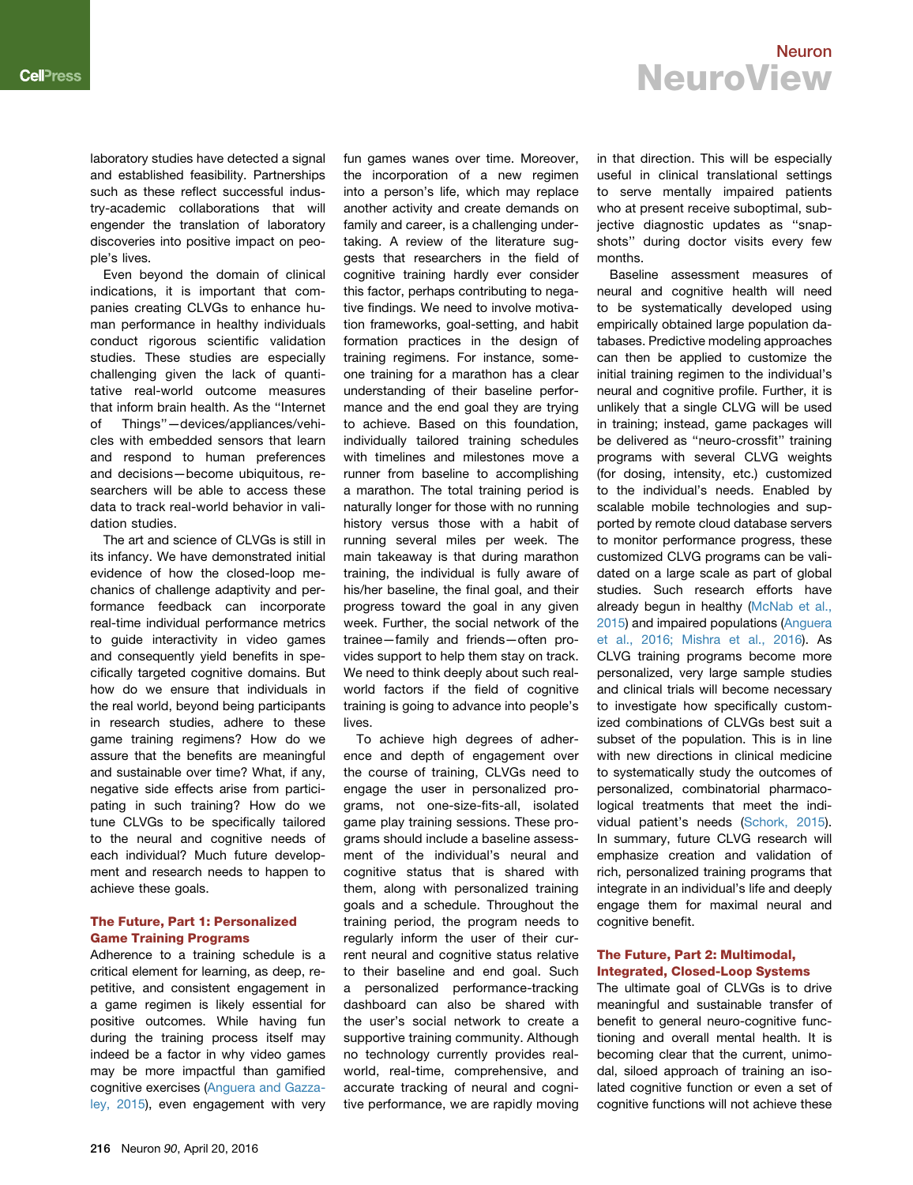laboratory studies have detected a signal and established feasibility. Partnerships such as these reflect successful industry-academic collaborations that will engender the translation of laboratory discoveries into positive impact on people's lives.

Even beyond the domain of clinical indications, it is important that companies creating CLVGs to enhance human performance in healthy individuals conduct rigorous scientific validation studies. These studies are especially challenging given the lack of quantitative real-world outcome measures that inform brain health. As the ''Internet of Things''—devices/appliances/vehicles with embedded sensors that learn and respond to human preferences and decisions—become ubiquitous, researchers will be able to access these data to track real-world behavior in validation studies.

The art and science of CLVGs is still in its infancy. We have demonstrated initial evidence of how the closed-loop mechanics of challenge adaptivity and performance feedback can incorporate real-time individual performance metrics to guide interactivity in video games and consequently yield benefits in specifically targeted cognitive domains. But how do we ensure that individuals in the real world, beyond being participants in research studies, adhere to these game training regimens? How do we assure that the benefits are meaningful and sustainable over time? What, if any, negative side effects arise from participating in such training? How do we tune CLVGs to be specifically tailored to the neural and cognitive needs of each individual? Much future development and research needs to happen to achieve these goals.

### The Future, Part 1: Personalized Game Training Programs

Adherence to a training schedule is a critical element for learning, as deep, repetitive, and consistent engagement in a game regimen is likely essential for positive outcomes. While having fun during the training process itself may indeed be a factor in why video games may be more impactful than gamified cognitive exercises [\(Anguera and Gazza](#page-3-3)[ley, 2015\)](#page-3-3), even engagement with very fun games wanes over time. Moreover, the incorporation of a new regimen into a person's life, which may replace another activity and create demands on family and career, is a challenging undertaking. A review of the literature suggests that researchers in the field of cognitive training hardly ever consider this factor, perhaps contributing to negative findings. We need to involve motivation frameworks, goal-setting, and habit formation practices in the design of training regimens. For instance, someone training for a marathon has a clear understanding of their baseline performance and the end goal they are trying to achieve. Based on this foundation, individually tailored training schedules with timelines and milestones move a runner from baseline to accomplishing a marathon. The total training period is naturally longer for those with no running history versus those with a habit of running several miles per week. The main takeaway is that during marathon training, the individual is fully aware of his/her baseline, the final goal, and their progress toward the goal in any given week. Further, the social network of the trainee—family and friends—often provides support to help them stay on track. We need to think deeply about such realworld factors if the field of cognitive training is going to advance into people's lives.

To achieve high degrees of adherence and depth of engagement over the course of training, CLVGs need to engage the user in personalized programs, not one-size-fits-all, isolated game play training sessions. These programs should include a baseline assessment of the individual's neural and cognitive status that is shared with them, along with personalized training goals and a schedule. Throughout the training period, the program needs to regularly inform the user of their current neural and cognitive status relative to their baseline and end goal. Such a personalized performance-tracking dashboard can also be shared with the user's social network to create a supportive training community. Although no technology currently provides realworld, real-time, comprehensive, and accurate tracking of neural and cognitive performance, we are rapidly moving

in that direction. This will be especially useful in clinical translational settings to serve mentally impaired patients who at present receive suboptimal, subjective diagnostic updates as ''snapshots'' during doctor visits every few months.

Baseline assessment measures of neural and cognitive health will need to be systematically developed using empirically obtained large population databases. Predictive modeling approaches can then be applied to customize the initial training regimen to the individual's neural and cognitive profile. Further, it is unlikely that a single CLVG will be used in training; instead, game packages will be delivered as ''neuro-crossfit'' training programs with several CLVG weights (for dosing, intensity, etc.) customized to the individual's needs. Enabled by scalable mobile technologies and supported by remote cloud database servers to monitor performance progress, these customized CLVG programs can be validated on a large scale as part of global studies. Such research efforts have already begun in healthy ([McNab et al.,](#page-4-6) [2015](#page-4-6)) and impaired populations [\(Anguera](#page-3-4) [et al., 2016; Mishra et al., 2016](#page-3-4)). As CLVG training programs become more personalized, very large sample studies and clinical trials will become necessary to investigate how specifically customized combinations of CLVGs best suit a subset of the population. This is in line with new directions in clinical medicine to systematically study the outcomes of personalized, combinatorial pharmacological treatments that meet the individual patient's needs ([Schork, 2015](#page-4-7)). In summary, future CLVG research will emphasize creation and validation of rich, personalized training programs that integrate in an individual's life and deeply engage them for maximal neural and cognitive benefit.

#### The Future, Part 2: Multimodal, Integrated, Closed-Loop Systems

The ultimate goal of CLVGs is to drive meaningful and sustainable transfer of benefit to general neuro-cognitive functioning and overall mental health. It is becoming clear that the current, unimodal, siloed approach of training an isolated cognitive function or even a set of cognitive functions will not achieve these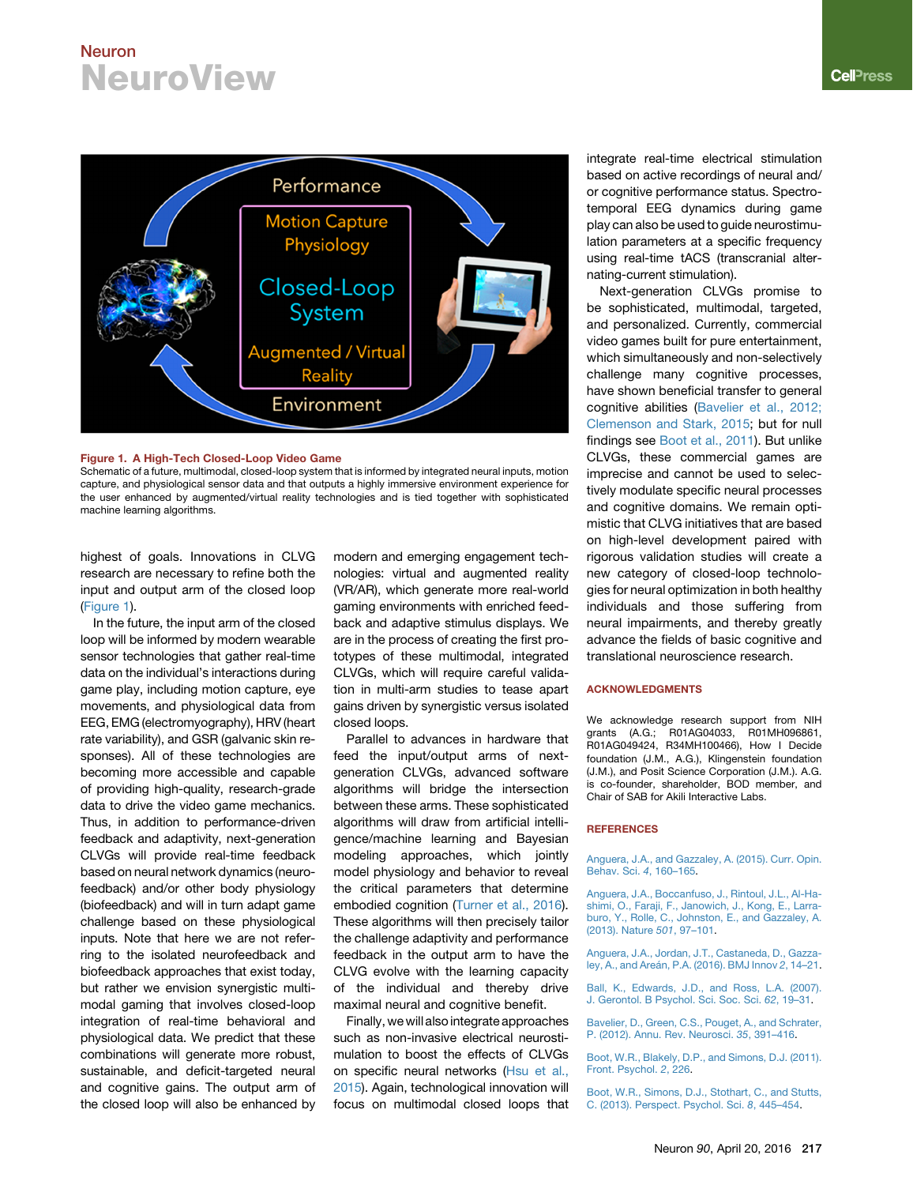<span id="page-3-5"></span>

#### Figure 1. A High-Tech Closed-Loop Video Game

Schematic of a future, multimodal, closed-loop system that is informed by integrated neural inputs, motion capture, and physiological sensor data and that outputs a highly immersive environment experience for the user enhanced by augmented/virtual reality technologies and is tied together with sophisticated machine learning algorithms.

highest of goals. Innovations in CLVG research are necessary to refine both the input and output arm of the closed loop [\(Figure 1](#page-3-5)).

In the future, the input arm of the closed loop will be informed by modern wearable sensor technologies that gather real-time data on the individual's interactions during game play, including motion capture, eye movements, and physiological data from EEG, EMG (electromyography), HRV (heart rate variability), and GSR (galvanic skin responses). All of these technologies are becoming more accessible and capable of providing high-quality, research-grade data to drive the video game mechanics. Thus, in addition to performance-driven feedback and adaptivity, next-generation CLVGs will provide real-time feedback based on neural network dynamics (neurofeedback) and/or other body physiology (biofeedback) and will in turn adapt game challenge based on these physiological inputs. Note that here we are not referring to the isolated neurofeedback and biofeedback approaches that exist today, but rather we envision synergistic multimodal gaming that involves closed-loop integration of real-time behavioral and physiological data. We predict that these combinations will generate more robust, sustainable, and deficit-targeted neural and cognitive gains. The output arm of the closed loop will also be enhanced by

modern and emerging engagement technologies: virtual and augmented reality (VR/AR), which generate more real-world gaming environments with enriched feedback and adaptive stimulus displays. We are in the process of creating the first prototypes of these multimodal, integrated CLVGs, which will require careful validation in multi-arm studies to tease apart gains driven by synergistic versus isolated closed loops.

Parallel to advances in hardware that feed the input/output arms of nextgeneration CLVGs, advanced software algorithms will bridge the intersection between these arms. These sophisticated algorithms will draw from artificial intelligence/machine learning and Bayesian modeling approaches, which jointly model physiology and behavior to reveal the critical parameters that determine embodied cognition [\(Turner et al., 2016](#page-4-8)). These algorithms will then precisely tailor the challenge adaptivity and performance feedback in the output arm to have the CLVG evolve with the learning capacity of the individual and thereby drive maximal neural and cognitive benefit.

Finally, we will also integrate approaches such as non-invasive electrical neurostimulation to boost the effects of CLVGs on specific neural networks ([Hsu et al.,](#page-4-9) [2015\)](#page-4-9). Again, technological innovation will focus on multimodal closed loops that integrate real-time electrical stimulation based on active recordings of neural and/ or cognitive performance status. Spectrotemporal EEG dynamics during game play can also be used to guide neurostimulation parameters at a specific frequency using real-time tACS (transcranial alternating-current stimulation).

Next-generation CLVGs promise to be sophisticated, multimodal, targeted, and personalized. Currently, commercial video games built for pure entertainment, which simultaneously and non-selectively challenge many cognitive processes, have shown beneficial transfer to general cognitive abilities ([Bavelier et al., 2012;](#page-3-6) [Clemenson and Stark, 2015;](#page-3-6) but for null findings see [Boot et al., 2011\)](#page-3-7). But unlike CLVGs, these commercial games are imprecise and cannot be used to selectively modulate specific neural processes and cognitive domains. We remain optimistic that CLVG initiatives that are based on high-level development paired with rigorous validation studies will create a new category of closed-loop technologies for neural optimization in both healthy individuals and those suffering from neural impairments, and thereby greatly advance the fields of basic cognitive and translational neuroscience research.

#### ACKNOWLEDGMENTS

We acknowledge research support from NIH grants (A.G.; R01AG04033, R01MH096861, R01AG049424, R34MH100466), How I Decide foundation (J.M., A.G.), Klingenstein foundation (J.M.), and Posit Science Corporation (J.M.). A.G. is co-founder, shareholder, BOD member, and Chair of SAB for Akili Interactive Labs.

#### **REFERENCES**

<span id="page-3-3"></span>[Anguera, J.A., and Gazzaley, A. \(2015\). Curr. Opin.](http://refhub.elsevier.com/S0896-6273(16)30069-1/sref1) [Behav. Sci.](http://refhub.elsevier.com/S0896-6273(16)30069-1/sref1) *4*, 160–165.

<span id="page-3-0"></span>[Anguera, J.A., Boccanfuso, J., Rintoul, J.L., Al-Ha](http://refhub.elsevier.com/S0896-6273(16)30069-1/sref2)[shimi, O., Faraji, F., Janowich, J., Kong, E., Larra](http://refhub.elsevier.com/S0896-6273(16)30069-1/sref2)[buro, Y., Rolle, C., Johnston, E., and Gazzaley, A.](http://refhub.elsevier.com/S0896-6273(16)30069-1/sref2) [\(2013\). Nature](http://refhub.elsevier.com/S0896-6273(16)30069-1/sref2) *501*, 97–101.

<span id="page-3-4"></span>[Anguera, J.A., Jordan, J.T., Castaneda, D., Gazza](http://refhub.elsevier.com/S0896-6273(16)30069-1/sref3)ley, A., and Areá[n, P.A. \(2016\). BMJ Innov](http://refhub.elsevier.com/S0896-6273(16)30069-1/sref3) 2, 14-21.

<span id="page-3-1"></span>[Ball, K., Edwards, J.D., and Ross, L.A. \(2007\).](http://refhub.elsevier.com/S0896-6273(16)30069-1/sref4) [J. Gerontol. B Psychol. Sci. Soc. Sci.](http://refhub.elsevier.com/S0896-6273(16)30069-1/sref4) *62*, 19–31.

<span id="page-3-6"></span>[Bavelier, D., Green, C.S., Pouget, A., and Schrater,](http://refhub.elsevier.com/S0896-6273(16)30069-1/sref5) [P. \(2012\). Annu. Rev. Neurosci.](http://refhub.elsevier.com/S0896-6273(16)30069-1/sref5) *35*, 391–416.

<span id="page-3-7"></span>[Boot, W.R., Blakely, D.P., and Simons, D.J. \(2011\).](http://refhub.elsevier.com/S0896-6273(16)30069-1/sref6) [Front. Psychol.](http://refhub.elsevier.com/S0896-6273(16)30069-1/sref6) *2*, 226.

<span id="page-3-2"></span>[Boot, W.R., Simons, D.J., Stothart, C., and Stutts,](http://refhub.elsevier.com/S0896-6273(16)30069-1/sref7) [C. \(2013\). Perspect. Psychol. Sci.](http://refhub.elsevier.com/S0896-6273(16)30069-1/sref7) *8*, 445–454.